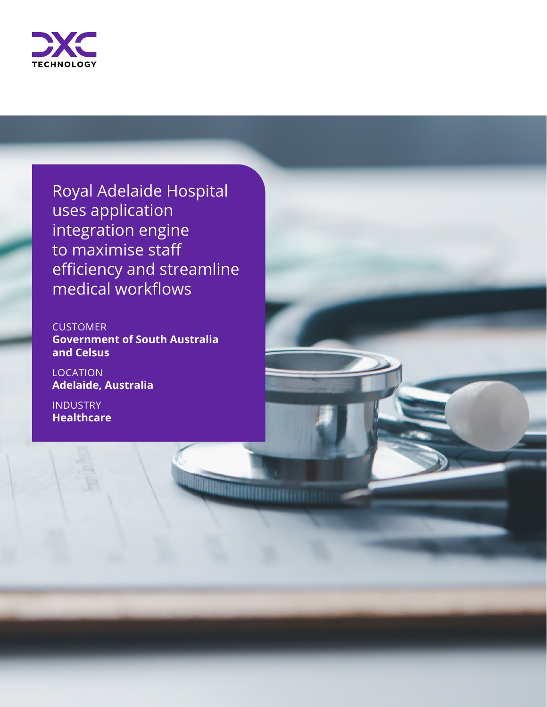

Royal Adelaide Hospital uses application integration engine to maximise staff efficiency and streamline medical workflows

**CUSTOMER Government of South Australia and Celsus**

**Diamantana amin'ny fivondronan-kaominin'i Amin'ny Frantsa.** 

**LOCATION Adelaide, Australia** 

INDUSTRY **Healthcare**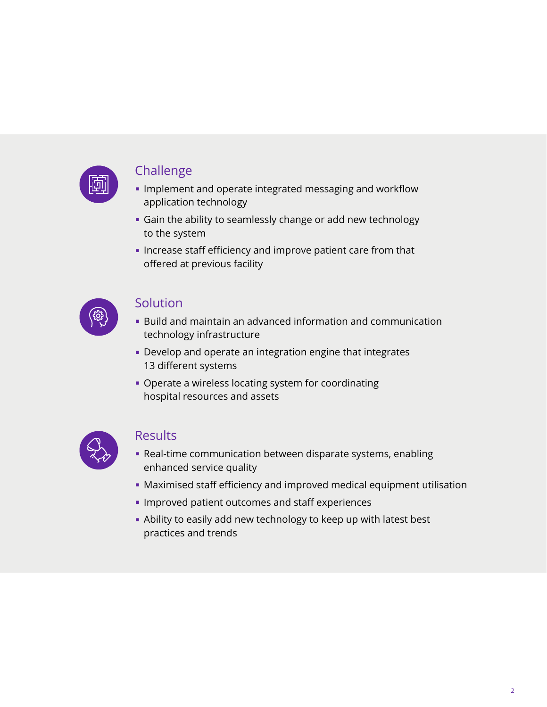

#### Challenge

- Implement and operate integrated messaging and workflow application technology
- Gain the ability to seamlessly change or add new technology to the system
- Increase staff efficiency and improve patient care from that offered at previous facility



#### Solution

- Build and maintain an advanced information and communication technology infrastructure
- Develop and operate an integration engine that integrates 13 different systems
- Operate a wireless locating system for coordinating hospital resources and assets



### Results

- Real-time communication between disparate systems, enabling enhanced service quality
- Maximised staff efficiency and improved medical equipment utilisation
- Improved patient outcomes and staff experiences
- Ability to easily add new technology to keep up with latest best practices and trends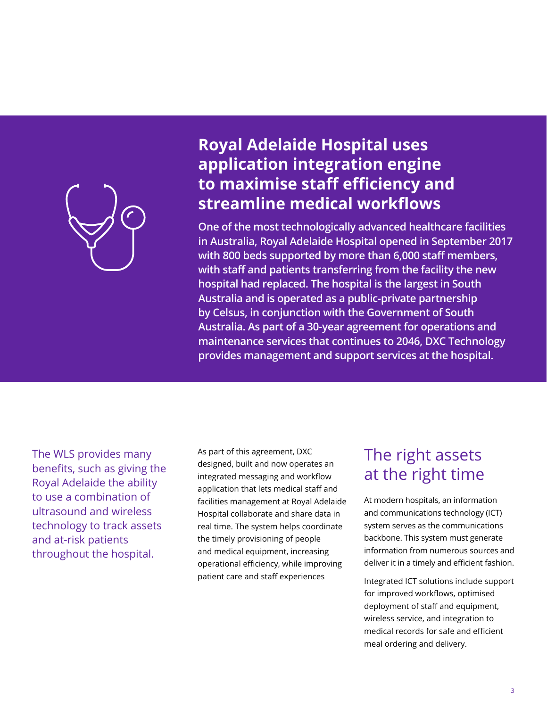

## **Royal Adelaide Hospital uses application integration engine to maximise staff efficiency and streamline medical workflows**

**One of the most technologically advanced healthcare facilities in Australia, Royal Adelaide Hospital opened in September 2017 with 800 beds supported by more than 6,000 staff members, with staff and patients transferring from the facility the new hospital had replaced. The hospital is the largest in South Australia and is operated as a public-private partnership by Celsus, in conjunction with the Government of South Australia. As part of a 30-year agreement for operations and maintenance services that continues to 2046, DXC Technology provides management and support services at the hospital.**

The WLS provides many benefits, such as giving the Royal Adelaide the ability to use a combination of ultrasound and wireless technology to track assets and at-risk patients throughout the hospital.

As part of this agreement, DXC designed, built and now operates an integrated messaging and workflow application that lets medical staff and facilities management at Royal Adelaide Hospital collaborate and share data in real time. The system helps coordinate the timely provisioning of people and medical equipment, increasing operational efficiency, while improving patient care and staff experiences

## The right assets at the right time

At modern hospitals, an information and communications technology (ICT) system serves as the communications backbone. This system must generate information from numerous sources and deliver it in a timely and efficient fashion.

Integrated ICT solutions include support for improved workflows, optimised deployment of staff and equipment, wireless service, and integration to medical records for safe and efficient meal ordering and delivery.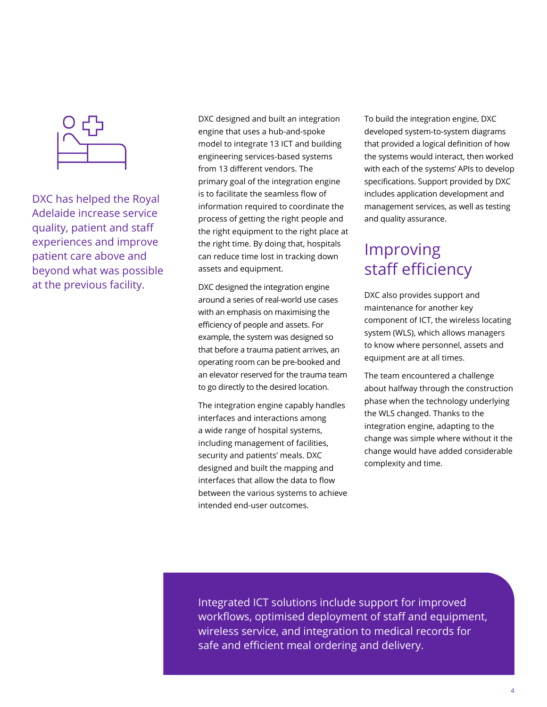

DXC has helped the Royal Adelaide increase service quality, patient and staff experiences and improve patient care above and beyond what was possible at the previous facility.

DXC designed and built an integration engine that uses a hub-and-spoke model to integrate 13 ICT and building engineering services-based systems from 13 different vendors. The primary goal of the integration engine is to facilitate the seamless flow of information required to coordinate the process of getting the right people and the right equipment to the right place at the right time. By doing that, hospitals can reduce time lost in tracking down assets and equipment.

DXC designed the integration engine around a series of real-world use cases with an emphasis on maximising the efficiency of people and assets. For example, the system was designed so that before a trauma patient arrives, an operating room can be pre-booked and an elevator reserved for the trauma team to go directly to the desired location.

The integration engine capably handles interfaces and interactions among a wide range of hospital systems, including management of facilities, security and patients' meals. DXC designed and built the mapping and interfaces that allow the data to flow between the various systems to achieve intended end-user outcomes.

To build the integration engine, DXC developed system-to-system diagrams that provided a logical definition of how the systems would interact, then worked with each of the systems' APIs to develop specifications. Support provided by DXC includes application development and management services, as well as testing and quality assurance.

# Improving staff efficiency

DXC also provides support and maintenance for another key component of ICT, the wireless locating system (WLS), which allows managers to know where personnel, assets and equipment are at all times.

The team encountered a challenge about halfway through the construction phase when the technology underlying the WLS changed. Thanks to the integration engine, adapting to the change was simple where without it the change would have added considerable complexity and time.

Integrated ICT solutions include support for improved workflows, optimised deployment of staff and equipment, wireless service, and integration to medical records for safe and efficient meal ordering and delivery.